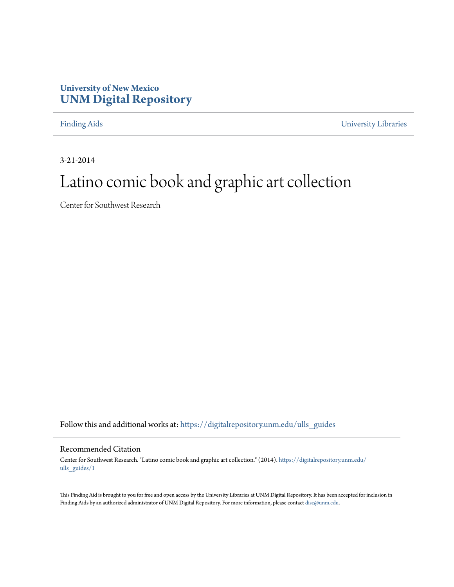## **University of New Mexico [UNM Digital Repository](https://digitalrepository.unm.edu?utm_source=digitalrepository.unm.edu%2Fulls_guides%2F1&utm_medium=PDF&utm_campaign=PDFCoverPages)**

[Finding Aids](https://digitalrepository.unm.edu/ulls_guides?utm_source=digitalrepository.unm.edu%2Fulls_guides%2F1&utm_medium=PDF&utm_campaign=PDFCoverPages) [University Libraries](https://digitalrepository.unm.edu/libraries?utm_source=digitalrepository.unm.edu%2Fulls_guides%2F1&utm_medium=PDF&utm_campaign=PDFCoverPages)

3-21-2014

# Latino comic book and graphic art collection

Center for Southwest Research

Follow this and additional works at: [https://digitalrepository.unm.edu/ulls\\_guides](https://digitalrepository.unm.edu/ulls_guides?utm_source=digitalrepository.unm.edu%2Fulls_guides%2F1&utm_medium=PDF&utm_campaign=PDFCoverPages)

### Recommended Citation

Center for Southwest Research. "Latino comic book and graphic art collection." (2014). [https://digitalrepository.unm.edu/](https://digitalrepository.unm.edu/ulls_guides/1?utm_source=digitalrepository.unm.edu%2Fulls_guides%2F1&utm_medium=PDF&utm_campaign=PDFCoverPages) [ulls\\_guides/1](https://digitalrepository.unm.edu/ulls_guides/1?utm_source=digitalrepository.unm.edu%2Fulls_guides%2F1&utm_medium=PDF&utm_campaign=PDFCoverPages)

This Finding Aid is brought to you for free and open access by the University Libraries at UNM Digital Repository. It has been accepted for inclusion in Finding Aids by an authorized administrator of UNM Digital Repository. For more information, please contact [disc@unm.edu.](mailto:disc@unm.edu)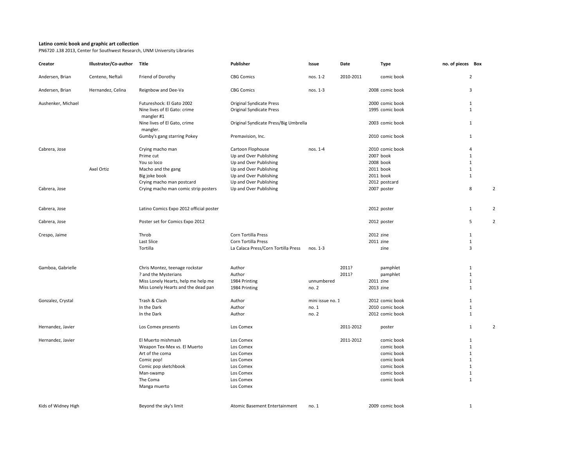### **Latino comic book and graphic art collection**

PN6720 .L38 2013, Center for Southwest Research, UNM University Libraries

| Creator             | Illustrator/Co-author | Title                                      | Publisher                             | Issue            | Date      | <b>Type</b>     | no. of pieces Box |                |                |
|---------------------|-----------------------|--------------------------------------------|---------------------------------------|------------------|-----------|-----------------|-------------------|----------------|----------------|
| Andersen, Brian     | Centeno, Neftali      | Friend of Dorothy                          | <b>CBG Comics</b>                     | nos. 1-2         | 2010-2011 | comic book      |                   | $\overline{2}$ |                |
| Andersen, Brian     | Hernandez, Celina     | Reignbow and Dee-Va                        | <b>CBG Comics</b>                     | nos. 1-3         |           | 2008 comic book |                   | 3              |                |
| Aushenker, Michael  |                       | Futureshock: El Gato 2002                  | <b>Original Syndicate Press</b>       |                  |           | 2000 comic book |                   | $\mathbf{1}$   |                |
|                     |                       | Nine lives of El Gato: crime<br>mangler #1 | <b>Original Syndicate Press</b>       |                  |           | 1995 comic book |                   | $\mathbf{1}$   |                |
|                     |                       | Nine lives of El Gato, crime<br>mangler.   | Original Syndicate Press/Big Umbrella |                  |           | 2003 comic book |                   | 1              |                |
|                     |                       | Gumby's gang starring Pokey                | Premavision, Inc.                     |                  |           | 2010 comic book |                   | $\mathbf{1}$   |                |
| Cabrera, Jose       |                       | Crying macho man                           | Cartoon Flophouse                     | nos. 1-4         |           | 2010 comic book |                   | 4              |                |
|                     |                       | Prime cut                                  | Up and Over Publishing                |                  |           | 2007 book       |                   | $\mathbf{1}$   |                |
|                     |                       | You so loco                                | Up and Over Publishing                |                  |           | 2008 book       |                   | $\mathbf{1}$   |                |
|                     | Axel Ortiz            | Macho and the gang                         | Up and Over Publishing                |                  |           | 2011 book       |                   | $\mathbf{1}$   |                |
|                     |                       | Big joke book                              | Up and Over Publishing                |                  |           | 2011 book       |                   | $\mathbf{1}$   |                |
|                     |                       | Crying macho man postcard                  | Up and Over Publishing                |                  |           | 2012 postcard   |                   |                |                |
| Cabrera, Jose       |                       | Crying macho man comic strip posters       | Up and Over Publishing                |                  |           | 2007 poster     |                   | 8              | $\overline{2}$ |
|                     |                       |                                            |                                       |                  |           |                 |                   |                |                |
| Cabrera, Jose       |                       | Latino Comics Expo 2012 official poster    |                                       |                  |           | 2012 poster     |                   | $\mathbf{1}$   | $\overline{2}$ |
| Cabrera, Jose       |                       | Poster set for Comics Expo 2012            |                                       |                  |           | 2012 poster     |                   | 5              | $\overline{2}$ |
| Crespo, Jaime       |                       | Throb                                      | Corn Tortilla Press                   |                  |           | 2012 zine       |                   | $\mathbf{1}$   |                |
|                     |                       | Last Slice                                 | Corn Tortilla Press                   |                  |           | 2011 zine       |                   | $\mathbf{1}$   |                |
|                     |                       | Tortilla                                   | La Calaca Press/Corn Tortilla Press   | nos. 1-3         |           | zine            |                   | 3              |                |
|                     |                       |                                            |                                       |                  |           |                 |                   |                |                |
| Gamboa, Gabrielle   |                       | Chris Montez, teenage rockstar             | Author                                |                  | 2011?     | pamphlet        |                   | $\mathbf{1}$   |                |
|                     |                       | ? and the Mysterians                       | Author                                |                  | 2011?     | pamphlet        |                   | $\mathbf{1}$   |                |
|                     |                       | Miss Lonely Hearts, help me help me        | 1984 Printing                         | unnumbered       |           | 2011 zine       |                   | $\mathbf{1}$   |                |
|                     |                       | Miss Lonely Hearts and the dead pan        | 1984 Printing                         | no. 2            |           | 2013 zine       |                   | $\mathbf{1}$   |                |
| Gonzalez, Crystal   |                       | Trash & Clash                              | Author                                | mini issue no. 1 |           | 2012 comic book |                   | $\mathbf{1}$   |                |
|                     |                       | In the Dark                                | Author                                | no. 1            |           | 2010 comic book |                   | $\mathbf{1}$   |                |
|                     |                       | In the Dark                                | Author                                | no. 2            |           | 2012 comic book |                   | $\mathbf{1}$   |                |
| Hernandez, Javier   |                       | Los Comex presents                         | Los Comex                             |                  | 2011-2012 | poster          |                   | $\mathbf{1}$   | $\overline{2}$ |
| Hernandez, Javier   |                       | El Muerto mishmash                         | Los Comex                             |                  | 2011-2012 | comic book      |                   | 1              |                |
|                     |                       | Weapon Tex-Mex vs. El Muerto               | Los Comex                             |                  |           | comic book      |                   | $\mathbf{1}$   |                |
|                     |                       | Art of the coma                            | Los Comex                             |                  |           | comic book      |                   | $\mathbf{1}$   |                |
|                     |                       | Comic pop!                                 | Los Comex                             |                  |           | comic book      |                   | $\mathbf{1}$   |                |
|                     |                       | Comic pop sketchbook                       | Los Comex                             |                  |           | comic book      |                   | $\mathbf{1}$   |                |
|                     |                       | Man-swamp                                  | Los Comex                             |                  |           | comic book      |                   | $\mathbf{1}$   |                |
|                     |                       | The Coma                                   | Los Comex                             |                  |           | comic book      |                   | $\mathbf{1}$   |                |
|                     |                       |                                            |                                       |                  |           |                 |                   |                |                |
|                     |                       | Manga muerto                               | Los Comex                             |                  |           |                 |                   |                |                |
| Kids of Widney High |                       | Beyond the sky's limit                     | Atomic Basement Entertainment         | no. 1            |           | 2009 comic book |                   | $\mathbf{1}$   |                |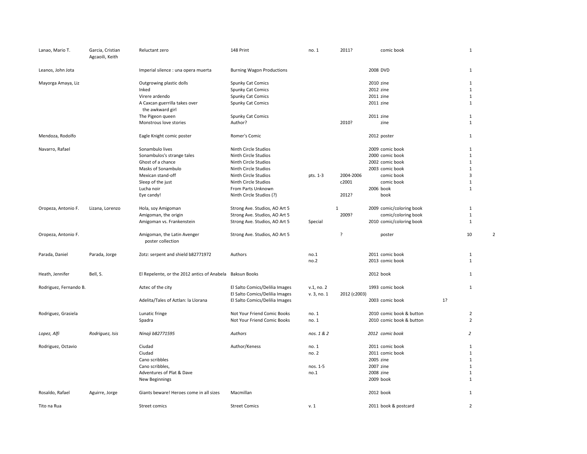| Lanao, Mario T.        | Garcia, Cristian<br>Agcaoili, Keith | Reluctant zero                                                                                                                                                 | 148 Print                                                                                                                                                                                      | no. 1                              | 2011?                       | comic book                                                                                                                |    | $\mathbf{1}$                                                                                              |                |
|------------------------|-------------------------------------|----------------------------------------------------------------------------------------------------------------------------------------------------------------|------------------------------------------------------------------------------------------------------------------------------------------------------------------------------------------------|------------------------------------|-----------------------------|---------------------------------------------------------------------------------------------------------------------------|----|-----------------------------------------------------------------------------------------------------------|----------------|
| Leanos, John Jota      |                                     | Imperial silence : una opera muerta                                                                                                                            | <b>Burning Wagon Productions</b>                                                                                                                                                               |                                    |                             | 2008 DVD                                                                                                                  |    | $\mathbf{1}$                                                                                              |                |
| Mayorga Amaya, Liz     |                                     | Outgrowing plastic dolls<br>Inked                                                                                                                              | Spunky Cat Comics<br>Spunky Cat Comics                                                                                                                                                         |                                    |                             | 2010 zine<br>2012 zine                                                                                                    |    | $\mathbf{1}$<br>$\mathbf{1}$                                                                              |                |
|                        |                                     | Virere ardendo<br>A Caxcan guerrilla takes over<br>the awkward girl                                                                                            | Spunky Cat Comics<br>Spunky Cat Comics                                                                                                                                                         |                                    |                             | 2011 zine<br>2011 zine                                                                                                    |    | $\mathbf{1}$<br>$\mathbf{1}$                                                                              |                |
|                        |                                     | The Pigeon queen<br>Monstrous love stories                                                                                                                     | Spunky Cat Comics<br>Author?                                                                                                                                                                   |                                    | 2010?                       | 2011 zine<br>zine                                                                                                         |    | $\mathbf{1}$<br>$\mathbf{1}$                                                                              |                |
| Mendoza, Rodolfo       |                                     | Eagle Knight comic poster                                                                                                                                      | Romer's Comic                                                                                                                                                                                  |                                    |                             | 2012 poster                                                                                                               |    | $\mathbf{1}$                                                                                              |                |
| Navarro, Rafael        |                                     | Sonambulo lives<br>Sonambulos's strange tales<br>Ghost of a chance<br>Masks of Sonambulo<br>Mexican stand-off<br>Sleep of the just<br>Lucha noir<br>Eye candy! | Ninth Circle Studios<br>Ninth Circle Studios<br>Ninth Circle Studios<br>Ninth Circle Studios<br>Ninth Circle Studios<br>Ninth Circle Studios<br>From Parts Unknown<br>Ninth Circle Studios (?) | pts. 1-3                           | 2004-2006<br>c2001<br>2012? | 2009 comic book<br>2000 comic book<br>2002 comic book<br>2003 comic book<br>comic book<br>comic book<br>2006 book<br>book |    | $\mathbf{1}$<br>$\mathbf{1}$<br>$1\,$<br>$\mathbf{1}$<br>$\overline{\mathbf{3}}$<br>$1\,$<br>$\mathbf{1}$ |                |
| Oropeza, Antonio F.    | Lizana, Lorenzo                     | Hola, soy Amigoman<br>Amigoman, the origin<br>Amigoman vs. Frankenstein                                                                                        | Strong Ave. Studios, AO Art 5<br>Strong Ave. Studios, AO Art 5<br>Strong Ave. Studios, AO Art 5                                                                                                | Special                            | $\mathbf 1$<br>2009?        | 2009 comic/coloring book<br>comic/coloring book<br>2010 comic/coloring book                                               |    | 1<br>$\mathbf{1}$<br>$1\,$                                                                                |                |
| Oropeza, Antonio F.    |                                     | Amigoman, the Latin Avenger<br>poster collection                                                                                                               | Strong Ave. Studios, AO Art 5                                                                                                                                                                  |                                    | ?                           | poster                                                                                                                    |    | 10                                                                                                        | $\overline{2}$ |
| Parada, Daniel         | Parada, Jorge                       | Zotz: serpent and shield b82771972                                                                                                                             | Authors                                                                                                                                                                                        | no.1<br>no.2                       |                             | 2011 comic book<br>2013 comic book                                                                                        |    | 1<br>$\mathbf{1}$                                                                                         |                |
| Heath, Jennifer        | Bell, S.                            | El Repelente, or the 2012 antics of Anabela                                                                                                                    | Baksun Books                                                                                                                                                                                   |                                    |                             | 2012 book                                                                                                                 |    | 1                                                                                                         |                |
| Rodriguez, Fernando B. |                                     | Aztec of the city<br>Adelita/Tales of Aztlan: la Llorana                                                                                                       | El Salto Comics/Delilia Images<br>El Salto Comics/Delilia Images<br>El Salto Comics/Delilia Images                                                                                             | v.1, no.2<br>v. 3, no. 1           | 2012 (c2003)                | 1993 comic book<br>2003 comic book                                                                                        | 1? | $\mathbf{1}$                                                                                              |                |
| Rodriguez, Grasiela    |                                     | Lunatic fringe<br>Spadra                                                                                                                                       | Not Your Friend Comic Books<br>Not Your Friend Comic Books                                                                                                                                     | no. 1<br>no. 1                     |                             | 2010 comic book & button<br>2010 comic book & button                                                                      |    | $\overline{2}$<br>$\overline{2}$                                                                          |                |
| Lopez, Alfi            | Rodriguez, Isis                     | Ninaji b82771595                                                                                                                                               | Authors                                                                                                                                                                                        | nos. 1 & 2                         |                             | 2012 comic book                                                                                                           |    | $\overline{2}$                                                                                            |                |
| Rodriguez, Octavio     |                                     | Ciudad<br>Ciudad<br>Cano scribbles<br>Cano scribbles,<br>Adventures of Plat & Dave<br>New Beginnings                                                           | Author/Keness                                                                                                                                                                                  | no. 1<br>no. 2<br>nos. 1-5<br>no.1 |                             | 2011 comic book<br>2011 comic book<br>2005 zine<br>2007 zine<br>2008 zine<br>2009 book                                    |    | $\mathbf{1}$<br>$1\,$<br>$\mathbf{1}$<br>$\mathbf{1}$<br>$\mathbf{1}$<br>$\mathbf{1}$                     |                |
| Rosaldo, Rafael        | Aguirre, Jorge                      | Giants beware! Heroes come in all sizes                                                                                                                        | Macmillan                                                                                                                                                                                      |                                    |                             | 2012 book                                                                                                                 |    | $\mathbf{1}$                                                                                              |                |
| Tito na Rua            |                                     | Street comics                                                                                                                                                  | <b>Street Comics</b>                                                                                                                                                                           | v.1                                |                             | 2011 book & postcard                                                                                                      |    | $\overline{2}$                                                                                            |                |